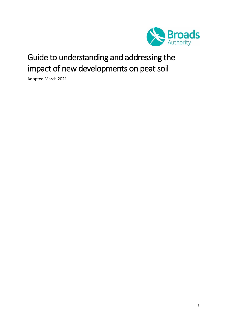

# Guide to understanding and addressing the impact of new developments on peat soil

Adopted March 2021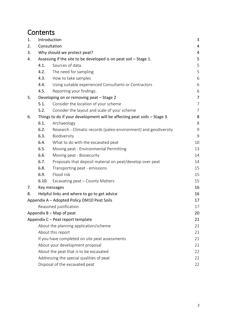# **Contents**

| 1. | Introduction                                                             |                                                                  |    |
|----|--------------------------------------------------------------------------|------------------------------------------------------------------|----|
| 2. | Consultation                                                             |                                                                  | 4  |
| 3. | Why should we protect peat?                                              |                                                                  |    |
| 4. | Assessing if the site to be developed is on peat soil - Stage 1.         |                                                                  |    |
|    | 4.1.                                                                     | Sources of data.                                                 | 5  |
|    | 4.2.                                                                     | The need for sampling                                            | 5  |
|    | 4.3.                                                                     | How to take samples                                              | 6  |
|    | 4.4.                                                                     | Using suitable experienced Consultants or Contractors            | 6  |
|    | 4.5.                                                                     | Reporting your findings.                                         | 6  |
| 5. |                                                                          | Developing on or removing peat - Stage 2                         | 7  |
|    | 5.1.                                                                     | Consider the location of your scheme                             | 7  |
|    | 5.2.                                                                     | Consider the layout and scale of your scheme                     | 7  |
| 6. | Things to do if your development will be affecting peat soils - Stage 3. |                                                                  | 8  |
|    | 6.1.                                                                     | Archaeology                                                      | 8  |
|    | 6.2.                                                                     | Research - Climatic records (paleo-environment) and geodiversity | 9  |
|    | 6.3.                                                                     | Biodiversity                                                     | 9  |
|    | 6.4.                                                                     | What to do with the excavated peat                               | 10 |
|    | 6.5.                                                                     | Moving peat - Environmental Permitting                           | 13 |
|    | 6.6.                                                                     | Moving peat - Biosecurity                                        | 14 |
|    | 6.7.                                                                     | Proposals that deposit material on peat/develop over peat        | 14 |
|    | 6.8.                                                                     | Transporting peat - emissions                                    | 15 |
|    | 6.9.                                                                     | Flood risk                                                       | 15 |
|    | 6.10.                                                                    | Excavating peat - County Matters                                 | 15 |
| 7. |                                                                          | Key messages                                                     | 16 |
| 8. |                                                                          | Helpful links and where to go to get advice                      | 16 |
|    |                                                                          | Appendix A - Adopted Policy DM10 Peat Soils                      | 17 |
|    |                                                                          | Reasoned justification                                           | 17 |
|    |                                                                          | Appendix $B - Map$ of peat                                       | 20 |
|    |                                                                          | Appendix C - Peat report template                                | 21 |
|    |                                                                          | About the planning application/scheme                            | 21 |
|    |                                                                          | About this report                                                | 21 |
|    | If you have completed on site peat assessments                           |                                                                  | 21 |
|    | About your development proposal                                          |                                                                  | 21 |
|    | About the peat that is to be excavated                                   |                                                                  | 22 |
|    | Addressing the special qualities of peat                                 |                                                                  | 22 |
|    | Disposal of the excavated peat                                           |                                                                  | 22 |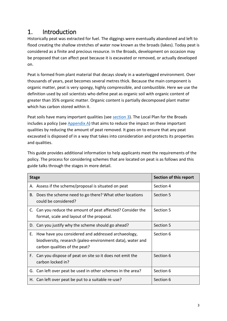# <span id="page-2-0"></span>1. Introduction

Historically peat was extracted for fuel. The diggings were eventually abandoned and left to flood creating the shallow stretches of water now known as the broads (lakes). Today peat is considered as a finite and precious resource. In the Broads, development on occasion may be proposed that can affect peat because it is excavated or removed, or actually developed on.

Peat is formed from plant material that decays slowly in a waterlogged environment. Over thousands of years, peat becomes several metres thick. Because the main component is organic matter, peat is very spongy, highly compressible, and combustible. Here we use the definition used by soil scientists who define peat as organic soil with organic content of greater than 35% organic matter. Organic content is partially decomposed plant matter which has carbon stored within it.

Peat soils have many important qualities (see [section 3\)](#page-3-1). The Local Plan for the Broads includes a policy (se[e Appendix A\)](#page-16-0) that aims to reduce the impact on these important qualities by reducing the amount of peat removed. It goes on to ensure that any peat excavated is disposed of in a way that takes into consideration and protects its properties and qualities.

This guide provides additional information to help applicants meet the requirements of the policy. The process for considering schemes that are located on peat is as follows and this guide talks through the stages in more detail.

| <b>Stage</b> |                                                                                                                                                   | Section of this report |
|--------------|---------------------------------------------------------------------------------------------------------------------------------------------------|------------------------|
|              | A. Assess if the scheme/proposal is situated on peat                                                                                              | Section 4              |
| В.           | Does the scheme need to go there? What other locations<br>could be considered?                                                                    | Section 5              |
|              | C. Can you reduce the amount of peat affected? Consider the<br>format, scale and layout of the proposal.                                          | Section 5              |
|              | D. Can you justify why the scheme should go ahead?                                                                                                | Section 5              |
| Е.           | How have you considered and addressed archaeology,<br>biodiversity, research (paleo-environment data), water and<br>carbon qualities of the peat? | Section 6              |
|              | F. Can you dispose of peat on site so it does not emit the<br>carbon locked in?                                                                   | Section 6              |
|              | G. Can left over peat be used in other schemes in the area?                                                                                       | Section 6              |
|              | H. Can left over peat be put to a suitable re-use?                                                                                                | Section 6              |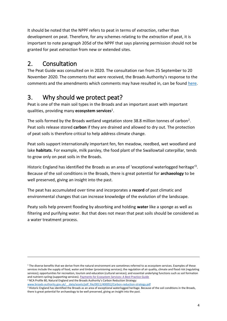It should be noted that the NPPF refers to peat in terms of *extraction*, rather than development on peat. Therefore, for any schemes relating to the *extraction* of peat, it is important to note paragraph 205d of the NPPF that says planning permission should not be granted for peat *extraction* from new or extended sites.

# <span id="page-3-0"></span>2. Consultation

-

The Peat Guide was consulted on in 2020. The consultation ran from 25 September to 20 November 2020. The comments that were received, the Broads Authority's response to the comments and the amendments which comments may have resulted in, can be found [here.](https://www.broads-authority.gov.uk/planning/planning-permission/design-guides)

# <span id="page-3-1"></span>3. Why should we protect peat?

Peat is one of the main soil types in the Broads and an important asset with important qualities, providing many **ecosystem services**<sup>1</sup> .

The soils formed by the Broads wetland vegetation store 38.8 million tonnes of carbon<sup>2</sup>. Peat soils release stored **carbon** if they are drained and allowed to dry out. The protection of peat soils is therefore critical to help address climate change.

Peat soils support internationally important fen, fen meadow, reedbed, wet woodland and lake **habitats**. For example, milk parsley, the food plant of the Swallowtail caterpillar, tends to grow only on peat soils in the Broads.

Historic England has identified the Broads as an area of 'exceptional waterlogged heritage<sup>13</sup>. Because of the soil conditions in the Broads, there is great potential for **archaeology** to be well preserved, giving an insight into the past.

The peat has accumulated over time and incorporates a **record** of past climatic and environmental changes that can increase knowledge of the evolution of the landscape.

Peaty soils help prevent flooding by absorbing and holding **water** like a sponge as well as filtering and purifying water. But that does not mean that peat soils should be considered as a water treatment process.

<sup>1</sup> The diverse benefits that we derive from the natural environment are sometimes referred to as ecosystem services. Examples of these services include the supply of food, water and timber (provisioning services); the regulation of air quality, climate and flood risk (regulating services); opportunities for recreation, tourism and education (cultural services); and essential underlying functions such as soil formation and nutrient cycling (supporting services). Payments for [Ecosystem](https://www.gov.uk/government/publications/payments-for-ecosystem-services-pes-best-practice-guide) Services: A Best Practice Guide <sup>2</sup> NCA Profile 80, Natural England and the Broads Authority's Carbon Reduction Strategy:

[www.broads-authority.gov.uk/\\_\\_data/assets/pdf\\_file/0011/400052/Carbon-reduction-strategy.pdf](http://www.broads-authority.gov.uk/__data/assets/pdf_file/0011/400052/Carbon-reduction-strategy.pdf)

<sup>3</sup> Historic England has identified the Broads as an area of exceptional waterlogged heritage. Because of the soil conditions in the Broads, there is great potential for archaeology to be well preserved, giving an insight into the past.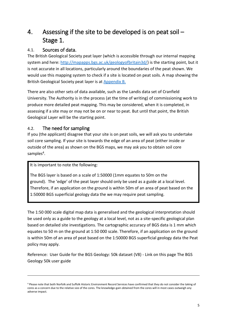# <span id="page-4-0"></span>4. Assessing if the site to be developed is on peat soil – Stage 1.

### <span id="page-4-1"></span>4.1. Sources of data.

The British Geological Society peat layer (which is accessible through our internal mapping system and here: [http://mapapps.bgs.ac.uk/geologyofbritain3d/\)](http://mapapps.bgs.ac.uk/geologyofbritain3d/) is the starting point, but it is not accurate in all locations, particularly around the boundaries of the peat shown. We would use this mapping system to check if a site is located on peat soils. A map showing the British Geological Society peat layer is at [Appendix B.](#page-19-0)

There are also other sets of data available, such as the Landis data set of Cranfield University. The Authority is in the process (at the time of writing) of commissioning work to produce more detailed peat mapping. This may be considered, when it is completed, in assessing if a site may or may not be on or near to peat. But until that point, the British Geological Layer will be the starting point.

### <span id="page-4-2"></span>4.2. The need for sampling

If you (the applicant) disagree that your site is on peat soils, we will ask you to undertake soil core sampling. If your site is towards the edge of an area of peat (either inside or outside of the area) as shown on the BGS maps, we may ask you to obtain soil core samples<sup>4</sup>.

It is important to note the following:

-

The BGS layer is based on a scale of 1:50000 (1mm equates to 50m on the ground). The 'edge' of the peat layer should only be used as a guide at a local level. Therefore, if an application on the ground is within 50m of an area of peat based on the 1:50000 BGS superficial geology data the we may require peat sampling.

The 1:50 000 scale digital map data is generalised and the geological interpretation should be used only as a guide to the geology at a local level, not as a site-specific geological plan based on detailed site investigations. The cartographic accuracy of BGS data is 1 mm which equates to 50 m on the ground at 1:50 000 scale. Therefore, if an application on the ground is within 50m of an area of peat based on the 1:50000 BGS superficial geology data the Peat policy may apply.

Reference: User Guide for the BGS Geology: 50k dataset (V8) - Link on this page [The BGS](https://www.bgs.ac.uk/?wpdmdl=13665)  [Geology 50k user guide](https://www.bgs.ac.uk/?wpdmdl=13665)

<sup>4</sup> Please note that both Norfolk and Suffolk Historic Environment Record Services have confirmed that they do not consider the taking of cores as a concern due to the relative size of the cores. The knowledge-gain obtained from the cores will in most cases outweigh any adverse impact.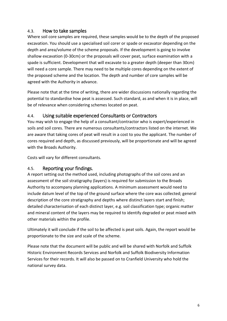#### <span id="page-5-0"></span>4.3. How to take samples

Where soil core samples are required, these samples would be to the depth of the proposed excavation. You should use a specialised soil corer or spade or excavator depending on the depth and area/volume of the scheme proposals. If the development is going to involve shallow excavation (0-30cm) or the proposals will cover peat, surface examination with a spade is sufficient. Development that will excavate to a greater depth (deeper than 30cm) will need a core sample. There may need to be multiple cores depending on the extent of the proposed scheme and the location. The depth and number of core samples will be agreed with the Authority in advance.

Please note that at the time of writing, there are wider discussions nationally regarding the potential to standardise how peat is assessed. Such standard, as and when it is in place, will be of relevance when considering schemes located on peat.

### <span id="page-5-1"></span>4.4. Using suitable experienced Consultants or Contractors

You may wish to engage the help of a consultant/contractor who is expert/experienced in soils and soil cores. There are numerous consultants/contractors listed on the internet. We are aware that taking cores of peat will result in a cost to you the applicant. The number of cores required and depth, as discussed previously, will be proportionate and will be agreed with the Broads Authority.

Costs will vary for different consultants.

### <span id="page-5-2"></span>4.5. Reporting your findings.

A report setting out the method used, including photographs of the soil cores and an assessment of the soil stratigraphy (layers) is required for submission to the Broads Authority to accompany planning applications. A minimum assessment would need to include datum level of the top of the ground surface where the core was collected; general description of the core stratigraphy and depths where distinct layers start and finish; detailed characterisation of each distinct layer, e.g. soil classification type; organic matter and mineral content of the layers may be required to identify degraded or peat mixed with other materials within the profile.

Ultimately it will conclude if the soil to be affected is peat soils. Again, the report would be proportionate to the size and scale of the scheme.

Please note that the document will be public and will be shared with Norfolk and Suffolk Historic Environment Records Services and Norfolk and Suffolk Biodiversity Information Services for their records. It will also be passed on to Cranfield University who hold the national survey data.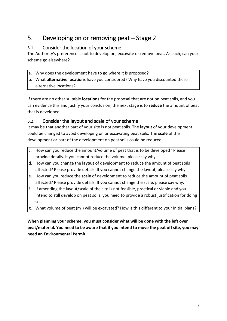# <span id="page-6-0"></span>5. Developing on or removing peat – Stage 2

### <span id="page-6-1"></span>5.1. Consider the location of your scheme

The Authority's preference is not to develop on, excavate or remove peat. As such, can your scheme go elsewhere?

- a. Why does the development have to go where it is proposed?
- b. What **alternative locations** have you considered? Why have you discounted these alternative locations?

If there are no other suitable **locations** for the proposal that are not on peat soils, and you can evidence this and justify your conclusion, the next stage is to **reduce** the amount of peat that is developed.

### <span id="page-6-2"></span>5.2. Consider the layout and scale of your scheme

It may be that another part of your site is not peat soils. The **layout** of your development could be changed to avoid developing on or excavating peat soils. The **scale** of the development or part of the development on peat soils could be reduced.

- c. How can you reduce the amount/volume of peat that is to be developed? Please provide details. If you cannot reduce the volume, please say why.
- d. How can you change the **layout** of development to reduce the amount of peat soils affected? Please provide details. If you cannot change the layout, please say why.
- e. How can you reduce the **scale** of development to reduce the amount of peat soils affected? Please provide details. If you cannot change the scale, please say why.
- f. If amending the layout/scale of the site is not feasible, practical or viable and you intend to still develop on peat soils, you need to provide a robust justification for doing so.
- g. What volume of peat (m<sup>3</sup>) will be excavated? How is this different to your initial plans?

**When planning your scheme, you must consider what will be done with the left over peat/material. You need to be aware that if you intend to move the peat off site, you may need an Environmental Permit.**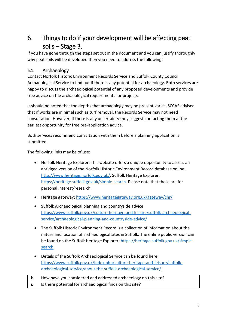# <span id="page-7-0"></span>6. Things to do if your development will be affecting peat soils – Stage 3.

If you have gone through the steps set out in the document and you can justify thoroughly why peat soils will be developed then you need to address the following.

### <span id="page-7-1"></span>6.1. Archaeology

Contact Norfolk Historic Environment Records Service and Suffolk County Council Archaeological Service to find out if there is any potential for archaeology. Both services are happy to discuss the archaeological potential of any proposed developments and provide free advice on the archaeological requirements for projects.

It should be noted that the depths that archaeology may be present varies. SCCAS advised that if works are minimal such as turf removal, the Records Service may not need consultation. However, if there is any uncertainty they suggest contacting them at the earliest opportunity for free pre-application advice.

Both services recommend consultation with them before a planning application is submitted.

The following links may be of use:

- Norfolk Heritage Explorer: This website offers a unique opportunity to access an abridged version of the Norfolk Historic Environment Record database online. [http://www.heritage.norfolk.gov.uk/.](http://www.heritage.norfolk.gov.uk/) Suffolk Heritage Explorer: [https://heritage.suffolk.gov.uk/simple-search.](https://heritage.suffolk.gov.uk/simple-search) Please note that these are for personal interest/research.
- Heritage gateway:<https://www.heritagegateway.org.uk/gateway/chr/>
- Suffolk Archaeological planning and countryside advice [https://www.suffolk.gov.uk/culture-heritage-and-leisure/suffolk-archaeological](https://www.suffolk.gov.uk/culture-heritage-and-leisure/suffolk-archaeological-service/archaeological-planning-and-countryside-advice/)[service/archaeological-planning-and-countryside-advice/](https://www.suffolk.gov.uk/culture-heritage-and-leisure/suffolk-archaeological-service/archaeological-planning-and-countryside-advice/)
- The Suffolk Historic Environment Record is a collection of information about the nature and location of archaeological sites in Suffolk. The online public version can be found on the Suffolk Heritage Explorer: [https://heritage.suffolk.gov.uk/simple](https://heritage.suffolk.gov.uk/simple-search)[search](https://heritage.suffolk.gov.uk/simple-search)
- Details of the Suffolk Archaeological Service can be found here: [https://www.suffolk.gov.uk/index.php/culture-heritage-and-leisure/suffolk](https://www.suffolk.gov.uk/index.php/culture-heritage-and-leisure/suffolk-archaeological-service/about-the-suffolk-archaeological-service/)[archaeological-service/about-the-suffolk-archaeological-service/](https://www.suffolk.gov.uk/index.php/culture-heritage-and-leisure/suffolk-archaeological-service/about-the-suffolk-archaeological-service/)
- h. How have you considered and addressed archaeology on this site?
- i. Is there potential for archaeological finds on this site?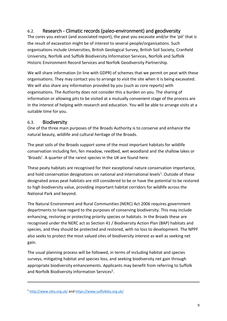### <span id="page-8-0"></span>6.2. Research - Climatic records (paleo-environment) and geodiversity

The cores you extract (and associated report), the peat you excavate and/or the 'pit' that is the result of excavation might be of interest to several people/organisations. Such organisations include Universities, British Geological Survey, British Soil Society, Cranfield University, Norfolk and Suffolk Biodiversity Information Services, Norfolk and Suffolk Historic Environment Record Services and Norfolk Geodiversity Partnership.

We will share information (in line with GDPR) of schemes that we permit on peat with these organisations. They may contact you to arrange to visit the site when it is being excavated. We will also share any information provided by you (such as core reports) with organisations. The Authority does not consider this a burden on you. The sharing of information or allowing pits to be visited at a mutually convenient stage of the process are in the interest of helping with research and education. You will be able to arrange visits at a suitable time for you.

#### <span id="page-8-1"></span>6.3. Biodiversity

One of the three main purposes of the Broads Authority is to conserve and enhance the natural beauty, wildlife and cultural heritage of the Broads.

The peat soils of the Broads support some of the most important habitats for wildlife conservation including fen, fen meadow, reedbed, wet woodland and the shallow lakes or 'Broads'. A quarter of the rarest species in the UK are found here.

These peaty habitats are recognised for their exceptional nature conservation importance, and hold conservation designations on national and international levels<sup>1</sup>. Outside of these designated areas peat habitats are still considered to be or have the potential to be restored to high biodiversity value, providing important habitat corridors for wildlife across the National Park and beyond.

The Natural Environment and Rural Communities (NERC) Act 2006 requires government departments to have regard to the purposes of conserving biodiversity. This may include enhancing, restoring or protecting priority species or habitats. In the Broads these are recognised under the NERC act as Section 41 / Biodiversity Action Plan (BAP) habitats and species, and they should be protected and restored, with no loss to development. The NPPF also seeks to protect the most valued sites of biodiversity interest as well as seeking net gain.

The usual planning process will be followed, in terms of including habitat and species surveys, mitigating habitat and species loss, and seeking biodiversity net gain through appropriate biodiversity enhancements. Applicants may benefit from referring to Suffolk and Norfolk Biodiversity Information Services<sup>5</sup>.

-

<sup>5</sup> <http://www.nbis.org.uk/> and<https://www.suffolkbis.org.uk/>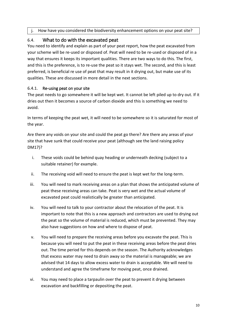j. How have you considered the biodiversity enhancement options on your peat site?

### <span id="page-9-0"></span>6.4. What to do with the excavated peat

You need to identify and explain as part of your peat report, how the peat excavated from your scheme will be re-used or disposed of. Peat will need to be re-used or disposed of in a way that ensures it keeps its important qualities. There are two ways to do this. The first, and this is the preference, is to re-use the peat so it stays wet. The second, and this is least preferred, is beneficial re use of peat that may result in it drying out, but make use of its qualities. These are discussed in more detail in the next sections.

#### 6.4.1. Re-using peat on your site

The peat needs to go somewhere it will be kept wet. It cannot be left piled up to dry out. If it dries out then it becomes a source of carbon dioxide and this is something we need to avoid.

In terms of keeping the peat wet, it will need to be somewhere so it is saturated for most of the year.

Are there any voids on your site and could the peat go there? Are there any areas of your site that have sunk that could receive your peat (although see the land raising policy DM17)?

- i. These voids could be behind quay heading or underneath decking (subject to a suitable retainer) for example.
- ii. The receiving void will need to ensure the peat is kept wet for the long-term.
- iii. You will need to mark receiving areas on a plan that shows the anticipated volume of peat these receiving areas can take. Peat is very wet and the actual volume of excavated peat could realistically be greater than anticipated.
- iv. You will need to talk to your contractor about the relocation of the peat. It is important to note that this is a new approach and contractors are used to drying out the peat so the volume of material is reduced, which must be prevented. They may also have suggestions on how and where to dispose of peat.
- v. You will need to prepare the receiving areas before you excavate the peat. This is because you will need to put the peat in these receiving areas before the peat dries out. The time period for this depends on the season. The Authority acknowledges that excess water may need to drain away so the material is manageable; we are advised that 14 days to allow excess water to drain is acceptable. We will need to understand and agree the timeframe for moving peat, once drained.
- vi. You may need to place a tarpaulin over the peat to prevent it drying between excavation and backfilling or depositing the peat.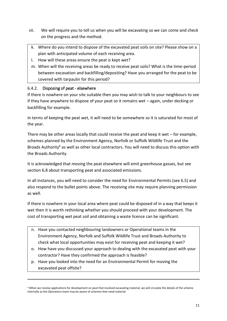- vii. We will require you to tell us when you will be excavating so we can come and check on the progress and the method.
- k. Where do you intend to dispose of the excavated peat soils on site? Please show on a plan with anticipated volume of each receiving area.
- l. How will these areas ensure the peat is kept wet?
- m. When will the receiving areas be ready to receive peat soils? What is the time-period between excavation and backfilling/depositing? Have you arranged for the peat to be covered with tarpaulin for this period?

#### 6.4.2. Disposing of peat - elsewhere

-

If there is nowhere on your site suitable then you may wish to talk to your neighbours to see if they have anywhere to dispose of your peat so it remains wet – again, under decking or backfilling for example.

In terms of keeping the peat wet, it will need to be somewhere so it is saturated for most of the year.

There may be other areas locally that could receive the peat and keep it wet – for example, schemes planned by the Environment Agency, Norfolk or Suffolk Wildlife Trust and the Broads Authority<sup>6</sup> as well as other local contractors. You will need to discuss this option with the Broads Authority.

It is acknowledged that moving the peat elsewhere will emit greenhouse gasses, but see section 6.8 about transporting peat and associated emissions.

In all instances, you will need to consider the need for Environmental Permits (see 6.5) and also respond to the bullet points above. The receiving site may require planning permission as well.

If there is nowhere in your local area where peat could be disposed of in a way that keeps it wet then it is worth rethinking whether you should proceed with your development. The cost of transporting wet peat soil and obtaining a waste licence can be significant.

- n. Have you contacted neighbouring landowners or Operational teams in the Environment Agency, Norfolk and Suffolk Wildlife Trust and Broads Authority to check what local opportunities may exist for receiving peat and keeping it wet?
- o. How have you discussed your approach to dealing with the excavated peat with your contractor? Have they confirmed the approach is feasible?
- p. Have you looked into the need for an Environmental Permit for moving the excavated peat offsite?

<sup>&</sup>lt;sup>6</sup> When we receive applications for development on peat that involved excavating material, we will circulate the details of the scheme internally as the Operations team may be aware of schemes that need material.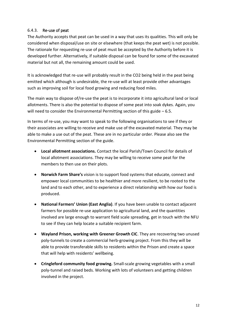#### 6.4.3. Re-use of peat

The Authority accepts that peat can be used in a way that uses its qualities. This will only be considered when disposal/use on site or elsewhere (that keeps the peat wet) is not possible. The rationale for requesting re-use of peat must be accepted by the Authority before it is developed further. Alternatively, if suitable disposal can be found for some of the excavated material but not all, the remaining amount could be used.

It is acknowledged that re-use will probably result in the CO2 being held in the peat being emitted which although is undesirable, the re-use will at least provide other advantages such as improving soil for local food growing and reducing food miles.

The main way to dispose of/re-use the peat is to incorporate it into agricultural land or local allotments. There is also the potential to dispose of some peat into soak dykes. Again, you will need to consider the Environmental Permitting section of this guide – 6.5.

In terms of re-use, you may want to speak to the following organisations to see if they or their associates are willing to receive and make use of the excavated material. They may be able to make a use out of the peat. These are in no particular order. Please also see the Environmental Permitting section of the guide.

- **Local allotment associations.** Contact the local Parish/Town Council for details of local allotment associations. They may be willing to receive some peat for the members to then use on their plots.
- **Norwich Farm Share's** vision is to support food systems that educate, connect and empower local communities to be healthier and more resilient, to be rooted to the land and to each other, and to experience a direct relationship with how our food is produced.
- **National Farmers' Union (East Anglia)**. If you have been unable to contact adjacent farmers for possible re-use application to agricultural land, and the quantities involved are large enough to warrant field scale spreading, get in touch with the NFU to see if they can help locate a suitable recipient farm.
- **Wayland Prison, working with Greener Growth CIC**. They are recovering two unused poly-tunnels to create a commercial herb-growing project. From this they will be able to provide transferable skills to residents within the Prison and create a space that will help with residents' wellbeing.
- **Cringleford community food growing.** Small-scale growing vegetables with a small poly-tunnel and raised beds. Working with lots of volunteers and getting children involved in the project.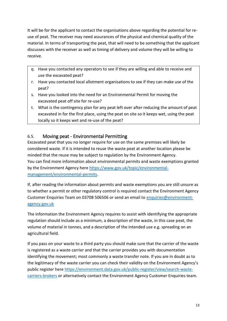It will be for the applicant to contact the organisations above regarding the potential for reuse of peat. The receiver may need assurances of the physical and chemical quality of the material. In terms of transporting the peat, that will need to be something that the applicant discusses with the receiver as well as timing of delivery and volume they will be willing to receive.

- q. Have you contacted any operators to see if they are willing and able to receive and use the excavated peat?
- r. Have you contacted local allotment organisations to see if they can make use of the peat?
- s. Have you looked into the need for an Environmental Permit for moving the excavated peat off site for re-use?
- t. What is the contingency plan for any peat left over after reducing the amount of peat excavated in for the first place, using the peat on site so it keeps wet, using the peat locally so it keeps wet and re-use of the peat?

### <span id="page-12-0"></span>6.5. Moving peat - Environmental Permitting

Excavated peat that you no longer require for use on the same premises will likely be considered waste. If it is intended to reuse the waste peat at another location please be minded that the reuse may be subject to regulation by the Environment Agency. You can find more information about environmental permits and waste exemptions granted by the Environment Agency here [https://www.gov.uk/topic/environmental](https://www.gov.uk/topic/environmental-management/environmental-permits)[management/environmental-permits.](https://www.gov.uk/topic/environmental-management/environmental-permits)

If, after reading the information about permits and waste exemptions you are still unsure as to whether a permit or other regulatory control is required contact the Environment Agency Customer Enquiries Team on 03708 506506 or send an email to [enquiries@environment](mailto:enquiries@environment-agency.gov.uk)[agency.gov.uk](mailto:enquiries@environment-agency.gov.uk)

The information the Environment Agency requires to assist with identifying the appropriate regulation should include as a minimum, a description of the waste, in this case peat, the volume of material in tonnes, and a description of the intended use e.g. spreading on an agricultural field.

If you pass on your waste to a third party you should make sure that the carrier of the waste is registered as a waste carrier and that the carrier provides you with documentation identifying the movement; most commonly a waste transfer note. If you are in doubt as to the legitimacy of the waste carrier you can check their validity on the Environment Agency's public register here [https://environment.data.gov.uk/public-register/view/search-waste](https://environment.data.gov.uk/public-register/view/search-waste-carriers-brokers)[carriers-brokers](https://environment.data.gov.uk/public-register/view/search-waste-carriers-brokers) or alternatively contact the Environment Agency Customer Enquiries team.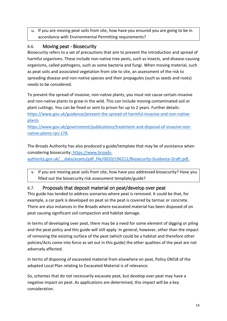u. If you are moving peat soils from site, how have you ensured you are going to be in accordance with Environmental Permitting requirements?

### <span id="page-13-0"></span>6.6. Moving peat - Biosecurity

Biosecurity refers to a set of precautions that aim to prevent the introduction and spread of harmful organisms. These include non-native tree pests, such as insects, and disease-causing organisms, called pathogens, such as some bacteria and fungi. When moving material, such as peat soils and associated vegetation from site to site, an assessment of the risk to spreading disease and non-native species and their propagules (such as seeds and roots) needs to be considered.

To prevent the spread of invasive, non-native plants, you must not cause certain invasive and non-native plants to grow in the wild. This can include moving contaminated soil or plant cuttings. You can be fined or sent to prison for up to 2 years. Further details: [https://www.gov.uk/guidance/prevent-the-spread-of-harmful-invasive-and-non-native](https://www.gov.uk/guidance/prevent-the-spread-of-harmful-invasive-and-non-native-plants)[plants](https://www.gov.uk/guidance/prevent-the-spread-of-harmful-invasive-and-non-native-plants)

[https://www.gov.uk/government/publications/treatment-and-disposal-of-invasive-non](https://www.gov.uk/government/publications/treatment-and-disposal-of-invasive-non-native-plants-rps-178)[native-plants-rps-178.](https://www.gov.uk/government/publications/treatment-and-disposal-of-invasive-non-native-plants-rps-178)

The Broads Authority has also produced a guide/template that may be of assistance when considering biosecurity: [https://www.broads](https://www.broads-authority.gov.uk/__data/assets/pdf_file/0020/196211/Biosecurity-Guidance-Draft.pdf)[authority.gov.uk/\\_\\_data/assets/pdf\\_file/0020/196211/Biosecurity-Guidance-Draft.pdf](https://www.broads-authority.gov.uk/__data/assets/pdf_file/0020/196211/Biosecurity-Guidance-Draft.pdf)*.*

v. If you are moving peat soils from site, how have you addressed biosecurity? Have you filled out the biosecurity risk assessment template/guide?

### <span id="page-13-1"></span>6.7. Proposals that deposit material on peat/develop over peat

This guide has tended to address scenarios where peat is removed. It could be that, for example, a car park is developed on peat so the peat is covered by tarmac or concrete. There are also instances in the Broads where excavated material has been disposed of on peat causing significant soil compaction and habitat damage.

In terms of developing over peat, there may be a need for some element of digging or piling and the peat policy and this guide will still apply. In general, however, other than the impact of removing the existing surface of the peat (which could be a habitat and therefore other policies/Acts come into force as set out in this guide) the other qualities of the peat are not adversely affected.

In terms of disposing of excavated material from elsewhere on peat, Policy DM18 of the adopted Local Plan relating to Excavated Material is of relevance.

So, schemes that do not necessarily excavate peat, but develop over peat may have a negative impact on peat. As applications are determined, this impact will be a key consideration.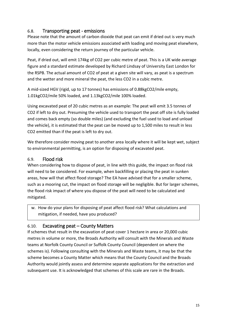### <span id="page-14-0"></span>6.8. Transporting peat - emissions

Please note that the amount of carbon dioxide that peat can emit if dried out is very much more than the motor vehicle emissions associated with loading and moving peat elsewhere, locally, even considering the return journey of the particular vehicle.

Peat, if dried out, will emit 174kg of CO2 per cubic metre of peat. This is a UK wide average figure and a standard estimate developed by Richard Lindsay of University East London for the RSPB. The actual amount of CO2 of peat at a given site will vary, as peat is a spectrum and the wetter and more mineral the peat, the less CO2 in a cubic metre.

A mid-sized HGV (rigid, up to 17 tonnes) has emissions of 0.88kgCO2/mile empty, 1.01kgCO2/mile 50% loaded, and 1.13kgCO2/mile 100% loaded.

Using excavated peat of 20 cubic metres as an example: The peat will emit 3.5 tonnes of CO2 if left to dry out. Presuming the vehicle used to transport the peat off site is fully loaded and comes back empty (so double miles) (and excluding the fuel used to load and unload the vehicle), it is estimated that the peat can be moved up to 1,500 miles to result in less CO2 emitted than if the peat is left to dry out.

We therefore consider moving peat to another area locally where it will be kept wet, subject to environmental permitting, is an option for disposing of excavated peat.

#### <span id="page-14-1"></span>6.9. Flood risk

When considering how to dispose of peat, in line with this guide, the impact on flood risk will need to be considered. For example, when backfilling or placing the peat in sunken areas, how will that affect flood storage? The EA have advised that for a smaller scheme, such as a mooring cut, the impact on flood storage will be negligible. But for larger schemes, the flood risk impact of where you dispose of the peat will need to be calculated and mitigated.

w. How do your plans for disposing of peat affect flood risk? What calculations and mitigation, if needed, have you produced?

### <span id="page-14-2"></span>6.10. Excavating peat – County Matters

If schemes that result in the excavation of peat cover 1 hectare in area or 20,000 cubic metres in volume or more, the Broads Authority will consult with the Minerals and Waste teams at Norfolk County Council or Suffolk County Council (dependent on where the schemes is). Following consulting with the Minerals and Waste teams, it may be that the scheme becomes a County Matter which means that the County Council and the Broads Authority would jointly assess and determine separate applications for the extraction and subsequent use. It is acknowledged that schemes of this scale are rare in the Broads.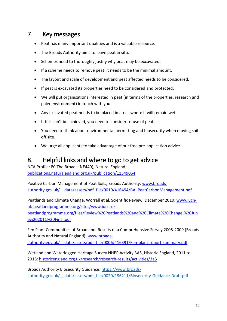# <span id="page-15-0"></span>7. Key messages

- Peat has many important qualities and is a valuable resource.
- The Broads Authority aims to leave peat in situ.
- Schemes need to thoroughly justify why peat may be excavated.
- If a scheme needs to remove peat, it needs to be the minimal amount.
- The layout and scale of development and peat affected needs to be considered.
- If peat is excavated its properties need to be considered and protected.
- We will put organisations interested in peat (in terms of the properties, research and paleoenvironment) in touch with you.
- Any excavated peat needs to be placed in areas where it will remain wet.
- If this can't be achieved, you need to consider re-use of peat.
- You need to think about environmental permitting and biosecurity when moving soil off site.
- We urge all applicants to take advantage of our free pre-application advice.

## <span id="page-15-1"></span>8. Helpful links and where to go to get advice

NCA Profile: 80 The Broads (NE449), Natural England: [publications.naturalengland.org.uk/publication/11549064](http://publications.naturalengland.org.uk/publication/11549064)

Positive Carbon Management of Peat Soils, Broads Authority: [www.broads](http://www.broads-authority.gov.uk/__data/assets/pdf_file/0010/416494/BA_PeatCarbonManagement.pdf)authority.gov.uk/ data/assets/pdf file/0010/416494/BA\_PeatCarbonManagement.pdf

Peatlands and Climate Change, Worrall et al, Scientific Review, December 2010: [www.iucn](http://www.iucn-uk-peatlandprogramme.org/sites/www.iucn-uk-peatlandprogramme.org/files/Review%20Peatlands%20and%20Climate%20Change,%20June%202011%20Final.pdf)[uk-peatlandprogramme.org/sites/www.iucn-uk](http://www.iucn-uk-peatlandprogramme.org/sites/www.iucn-uk-peatlandprogramme.org/files/Review%20Peatlands%20and%20Climate%20Change,%20June%202011%20Final.pdf)[peatlandprogramme.org/files/Review%20Peatlands%20and%20Climate%20Change,%20Jun](http://www.iucn-uk-peatlandprogramme.org/sites/www.iucn-uk-peatlandprogramme.org/files/Review%20Peatlands%20and%20Climate%20Change,%20June%202011%20Final.pdf) [e%202011%20Final.pdf](http://www.iucn-uk-peatlandprogramme.org/sites/www.iucn-uk-peatlandprogramme.org/files/Review%20Peatlands%20and%20Climate%20Change,%20June%202011%20Final.pdf)

Fen Plant Communities of Broadland. Results of a Comprehensive Survey 2005-2009 (Broads Authority and Natural England): [www.broads-](http://www.broads-authority.gov.uk/__data/assets/pdf_file/0006/416391/Fen-plant-report-summary.pdf)

authority.gov.uk/ data/assets/pdf file/0006/416391/Fen-plant-report-summary.pdf

Wetland and Waterlogged Heritage Survey NHPP Activity 3A5, Historic England, 2011 to 2015: [historicengland.org.uk/research/research-results/activities/3a5](http://historicengland.org.uk/research/research-results/activities/3a5)

Broads Authority Biosecurity Guidance: [https://www.broads](https://www.broads-authority.gov.uk/__data/assets/pdf_file/0020/196211/Biosecurity-Guidance-Draft.pdf)authority.gov.uk/ data/assets/pdf file/0020/196211/Biosecurity-Guidance-Draft.pdf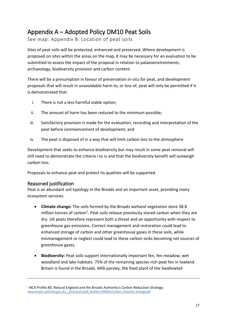# <span id="page-16-0"></span>Appendix A – Adopted Policy DM10 Peat Soils

See map: Appendix B: Location of peat soils

Sites of peat soils will be protected, enhanced and preserved. Where development is proposed on sites within the areas on the map, it may be necessary for an evaluation to be submitted to assess the impact of the proposal in relation to palaeoenvironments, archaeology, biodiversity provision and carbon content.

There will be a presumption in favour of preservation in-situ for peat, and development proposals that will result in unavoidable harm to, or loss of, peat will only be permitted if it is demonstrated that:

- i. There is not a less harmful viable option;
- ii. The amount of harm has been reduced to the minimum possible;
- iii. Satisfactory provision is made for the evaluation, recording and interpretation of the peat before commencement of development; and
- iv. The peat is disposed of in a way that will limit carbon loss to the atmosphere

Development that seeks to enhance biodiversity but may result in some peat removal will still need to demonstrate the criteria i to iv and that the biodiversity benefit will outweigh carbon loss.

Proposals to enhance peat and protect its qualities will be supported.

### <span id="page-16-1"></span>Reasoned justification

-

Peat is an abundant soil typology in the Broads and an important asset, providing many ecosystem services:

- **Climate change:** The soils formed by the Broads wetland vegetation store 38.8 million tonnes of carbon<sup>7</sup>. Peat soils release previously stored carbon when they are dry. UK peats therefore represent both a threat and an opportunity with respect to greenhouse gas emissions. Correct management and restoration could lead to enhanced storage of carbon and other greenhouse gases in these soils, while mismanagement or neglect could lead to these carbon sinks becoming net sources of greenhouse gases.
- **Biodiversity:** Peat soils support internationally important fen, fen meadow, wet woodland and lake habitats. 75% of the remaining species-rich peat fen in lowland Britain is found in the Broads. Milk parsley, the food plant of the Swallowtail

<sup>7</sup> NCA Profile 80, Natural England and the Broads Authority's Carbon Reduction Strategy: www.broads-authority.gov.uk/ data/assets/pdf file/0011/400052/Carbon-reduction-strategy.pdf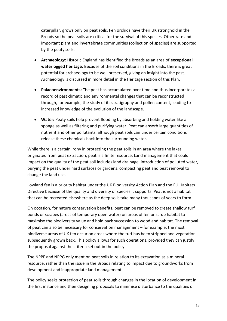caterpillar, grows only on peat soils. Fen orchids have their UK stronghold in the Broads so the peat soils are critical for the survival of this species. Other rare and important plant and invertebrate communities (collection of species) are supported by the peaty soils.

- **Archaeology:** Historic England has identified the Broads as an area of **exceptional waterlogged heritage.** Because of the soil conditions in the Broads, there is great potential for archaeology to be well preserved, giving an insight into the past. Archaeology is discussed in more detail in the Heritage section of this Plan.
- **Palaeoenvironments:** The peat has accumulated over time and thus incorporates a record of past climatic and environmental changes that can be reconstructed through, for example, the study of its stratigraphy and pollen content, leading to increased knowledge of the evolution of the landscape.
- **Water:** Peaty soils help prevent flooding by absorbing and holding water like a sponge as well as filtering and purifying water. Peat can absorb large quantities of nutrient and other pollutants, although peat soils can under certain conditions release these chemicals back into the surrounding water.

While there is a certain irony in protecting the peat soils in an area where the lakes originated from peat extraction, peat is a finite resource. Land management that could impact on the quality of the peat soil includes land drainage, introduction of polluted water, burying the peat under hard surfaces or gardens, compacting peat and peat removal to change the land use.

Lowland fen is a priority habitat under the UK Biodiversity Action Plan and the EU Habitats Directive because of the quality and diversity of species it supports. Peat is not a habitat that can be recreated elsewhere as the deep soils take many thousands of years to form.

On occasion, for nature conservation benefits, peat can be removed to create shallow turf ponds or scrapes (areas of temporary open water) on areas of fen or scrub habitat to maximise the biodiversity value and hold back succession to woodland habitat. The removal of peat can also be necessary for conservation management – for example, the most biodiverse areas of UK fen occur on areas where the turf has been stripped and vegetation subsequently grown back. This policy allows for such operations, provided they can justify the proposal against the criteria set out in the policy.

The NPPF and NPPG only mention peat soils in relation to its excavation as a mineral resource, rather than the issue in the Broads relating to impact due to groundworks from development and inappropriate land management.

The policy seeks protection of peat soils through changes in the location of development in the first instance and then designing proposals to minimise disturbance to the qualities of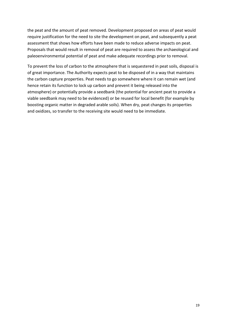the peat and the amount of peat removed. Development proposed on areas of peat would require justification for the need to site the development on peat, and subsequently a peat assessment that shows how efforts have been made to reduce adverse impacts on peat. Proposals that would result in removal of peat are required to assess the archaeological and paleoenvironmental potential of peat and make adequate recordings prior to removal.

To prevent the loss of carbon to the atmosphere that is sequestered in peat soils, disposal is of great importance. The Authority expects peat to be disposed of in a way that maintains the carbon capture properties. Peat needs to go somewhere where it can remain wet (and hence retain its function to lock up carbon and prevent it being released into the atmosphere) or potentially provide a seedbank (the potential for ancient peat to provide a viable seedbank may need to be evidenced) or be reused for local benefit (for example by boosting organic matter in degraded arable soils). When dry, peat changes its properties and oxidizes, so transfer to the receiving site would need to be immediate.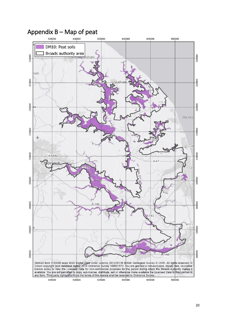

# <span id="page-19-0"></span>Appendix B – Map of peat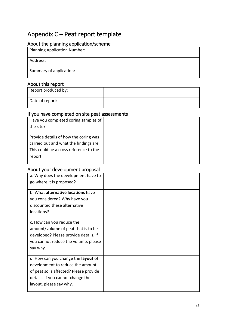# <span id="page-20-0"></span>Appendix C – Peat report template

### <span id="page-20-1"></span>About the planning application/scheme

| <b>Planning Application Number:</b> |  |
|-------------------------------------|--|
| Address:                            |  |
| Summary of application:             |  |

### <span id="page-20-2"></span>About this report

| Report produced by: |  |
|---------------------|--|
| Date of report:     |  |

### <span id="page-20-3"></span>If you have completed on site peat assessments

| Have you completed coring samples of   |  |
|----------------------------------------|--|
| the site?                              |  |
|                                        |  |
| Provide details of how the coring was  |  |
| carried out and what the findings are. |  |
| This could be a cross reference to the |  |
| report.                                |  |
|                                        |  |

### <span id="page-20-4"></span>About your development proposal

| a. Why does the development have to    |  |
|----------------------------------------|--|
| go where it is proposed?               |  |
| b. What alternative locations have     |  |
|                                        |  |
| you considered? Why have you           |  |
| discounted these alternative           |  |
| locations?                             |  |
|                                        |  |
| c. How can you reduce the              |  |
| amount/volume of peat that is to be    |  |
| developed? Please provide details. If  |  |
| you cannot reduce the volume, please   |  |
| say why.                               |  |
|                                        |  |
| d. How can you change the layout of    |  |
| development to reduce the amount       |  |
| of peat soils affected? Please provide |  |
| details. If you cannot change the      |  |
| layout, please say why.                |  |
|                                        |  |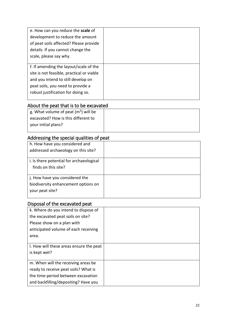| e. How can you reduce the scale of        |  |
|-------------------------------------------|--|
| development to reduce the amount          |  |
| of peat soils affected? Please provide    |  |
| details. If you cannot change the         |  |
| scale, please say why.                    |  |
|                                           |  |
| f. If amending the layout/scale of the    |  |
| site is not feasible, practical or viable |  |
| and you intend to still develop on        |  |
| peat soils, you need to provide a         |  |
| robust justification for doing so.        |  |
|                                           |  |

# <span id="page-21-0"></span>About the peat that is to be excavated

| g. What volume of peat $(m^3)$ will be |  |
|----------------------------------------|--|
| excavated? How is this different to    |  |
| your initial plans?                    |  |
|                                        |  |

# <span id="page-21-1"></span>Addressing the special qualities of peat

| h. How have you considered and           |  |
|------------------------------------------|--|
| addressed archaeology on this site?      |  |
|                                          |  |
| i. Is there potential for archaeological |  |
| finds on this site?                      |  |
|                                          |  |
| j. How have you considered the           |  |
| biodiversity enhancement options on      |  |
| your peat site?                          |  |
|                                          |  |

# <span id="page-21-2"></span>Disposal of the excavated peat

| k. Where do you intend to dispose of    |  |
|-----------------------------------------|--|
| the excavated peat soils on site?       |  |
| Please show on a plan with              |  |
| anticipated volume of each receiving    |  |
| area.                                   |  |
|                                         |  |
| I. How will these areas ensure the peat |  |
| is kept wet?                            |  |
|                                         |  |
| m. When will the receiving areas be     |  |
| ready to receive peat soils? What is    |  |
| the time-period between excavation      |  |
| and backfilling/depositing? Have you    |  |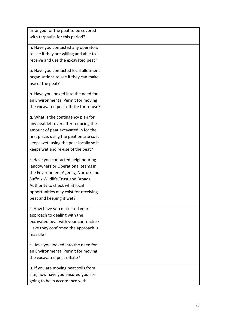| arranged for the peat to be covered       |  |
|-------------------------------------------|--|
| with tarpaulin for this period?           |  |
| n. Have you contacted any operators       |  |
| to see if they are willing and able to    |  |
| receive and use the excavated peat?       |  |
|                                           |  |
| o. Have you contacted local allotment     |  |
| organisations to see if they can make     |  |
| use of the peat?                          |  |
| p. Have you looked into the need for      |  |
| an Environmental Permit for moving        |  |
| the excavated peat off site for re-use?   |  |
| q. What is the contingency plan for       |  |
| any peat left over after reducing the     |  |
| amount of peat excavated in for the       |  |
| first place, using the peat on site so it |  |
| keeps wet, using the peat locally so it   |  |
| keeps wet and re-use of the peat?         |  |
| r. Have you contacted neighbouring        |  |
| landowners or Operational teams in        |  |
| the Environment Agency, Norfolk and       |  |
| <b>Suffolk Wildlife Trust and Broads</b>  |  |
| Authority to check what local             |  |
| opportunities may exist for receiving     |  |
| peat and keeping it wet?                  |  |
| s. How have you discussed your            |  |
| approach to dealing with the              |  |
| excavated peat with your contractor?      |  |
| Have they confirmed the approach is       |  |
| feasible?                                 |  |
| t. Have you looked into the need for      |  |
| an Environmental Permit for moving        |  |
| the excavated peat offsite?               |  |
| u. If you are moving peat soils from      |  |
| site, how have you ensured you are        |  |
| going to be in accordance with            |  |